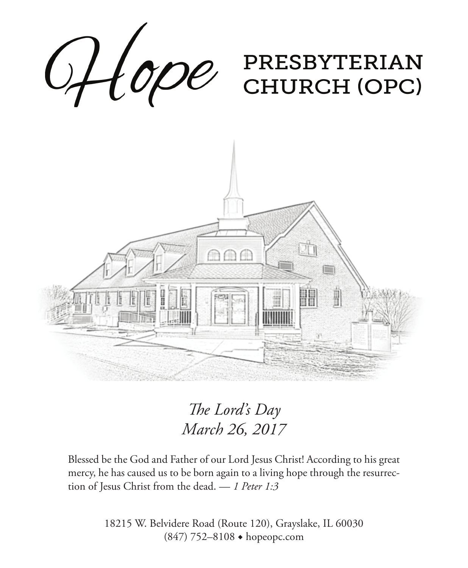

*The Lord's Day March 26, 2017*

Blessed be the God and Father of our Lord Jesus Christ! According to his great mercy, he has caused us to be born again to a living hope through the resurrection of Jesus Christ from the dead. — *1 Peter 1:3*

> 18215 W. Belvidere Road (Route 120), Grayslake, IL 60030 (847) 752–8108 ◆ hopeopc.com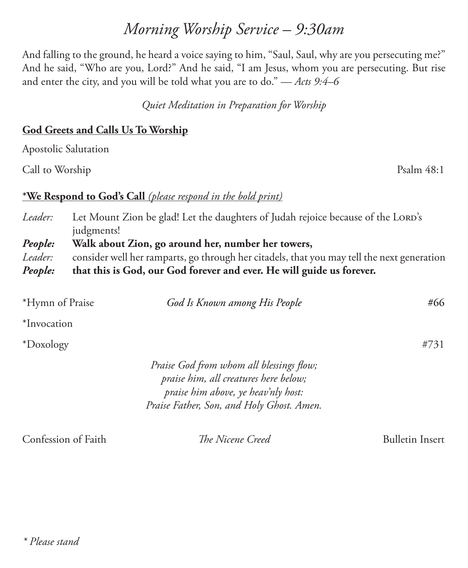# *Morning Worship Service – 9:30am*

And falling to the ground, he heard a voice saying to him, "Saul, Saul, why are you persecuting me?" And he said, "Who are you, Lord?" And he said, "I am Jesus, whom you are persecuting. But rise and enter the city, and you will be told what you are to do." — *Acts 9:4–6*

*Quiet Meditation in Preparation for Worship*

### **God Greets and Calls Us To Worship**

Apostolic Salutation

Call to Worship Psalm 48:1

#### **\*We Respond to God's Call** *(please respond in the bold print)*

*Leader:* Let Mount Zion be glad! Let the daughters of Judah rejoice because of the LORD's judgments! *People:* **Walk about Zion, go around her, number her towers,**  *Leader:* consider well her ramparts, go through her citadels, that you may tell the next generation *People:* **that this is God, our God forever and ever. He will guide us forever.**

| *Hymn of Praise | God Is Known among His People                                                                                                                                         | #66  |
|-----------------|-----------------------------------------------------------------------------------------------------------------------------------------------------------------------|------|
| *Invocation     |                                                                                                                                                                       |      |
| *Doxology       |                                                                                                                                                                       | #731 |
|                 | Praise God from whom all blessings flow;<br>praise him, all creatures here below;<br>praise him above, ye heav'nly host:<br>Praise Father, Son, and Holy Ghost. Amen. |      |

Confession of Faith *The Nicene Creed* Bulletin Insert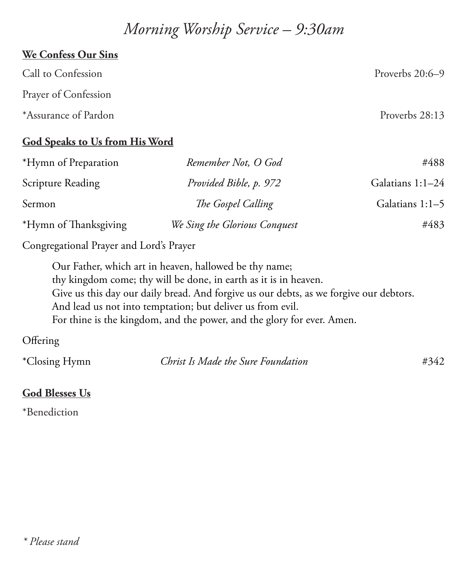## *Morning Worship Service – 9:30am*

# **We Confess Our Sins** Call to Confession Proverbs 20:6–9 Prayer of Confession \*Assurance of Pardon Proverbs 28:13

### **God Speaks to Us from His Word**

| *Hymn of Preparation  | Remember Not, O God           | #488             |
|-----------------------|-------------------------------|------------------|
| Scripture Reading     | Provided Bible, p. 972        | Galatians 1:1-24 |
| Sermon                | The Gospel Calling            | Galatians 1:1-5  |
| *Hymn of Thanksgiving | We Sing the Glorious Conquest | #483             |

Congregational Prayer and Lord's Prayer

Our Father, which art in heaven, hallowed be thy name; thy kingdom come; thy will be done, in earth as it is in heaven. Give us this day our daily bread. And forgive us our debts, as we forgive our debtors. And lead us not into temptation; but deliver us from evil. For thine is the kingdom, and the power, and the glory for ever. Amen.

### **Offering**

| *Closing Hymn | Christ Is Made the Sure Foundation | #342 |
|---------------|------------------------------------|------|
|               |                                    |      |

### **God Blesses Us**

\*Benediction